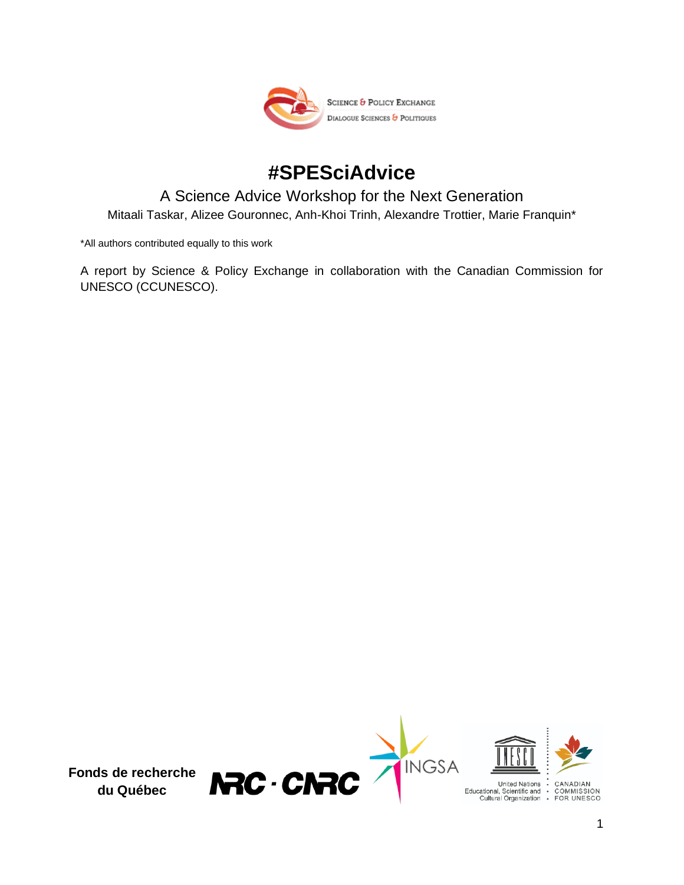

# **#SPESciAdvice**

# A Science Advice Workshop for the Next Generation Mitaali Taskar, Alizee Gouronnec, Anh-Khoi Trinh, Alexandre Trottier, Marie Franquin\*

\*All authors contributed equally to this work

A report by Science & Policy Exchange in collaboration with the Canadian Commission for UNESCO (CCUNESCO).

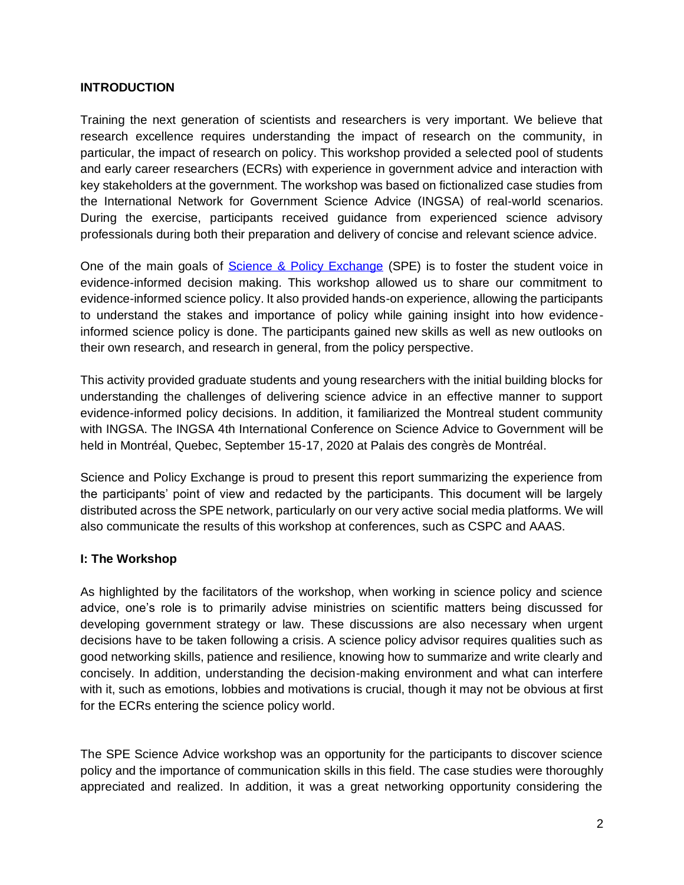## **INTRODUCTION**

Training the next generation of scientists and researchers is very important. We believe that research excellence requires understanding the impact of research on the community, in particular, the impact of research on policy. This workshop provided a selected pool of students and early career researchers (ECRs) with experience in government advice and interaction with key stakeholders at the government. The workshop was based on fictionalized case studies from the International Network for Government Science Advice (INGSA) of real-world scenarios. During the exercise, participants received guidance from experienced science advisory professionals during both their preparation and delivery of concise and relevant science advice.

One of the main goals of [Science & Policy Exchange](https://www.sp-exchange.ca/) (SPE) is to foster the student voice in evidence-informed decision making. This workshop allowed us to share our commitment to evidence-informed science policy. It also provided hands-on experience, allowing the participants to understand the stakes and importance of policy while gaining insight into how evidenceinformed science policy is done. The participants gained new skills as well as new outlooks on their own research, and research in general, from the policy perspective.

This activity provided graduate students and young researchers with the initial building blocks for understanding the challenges of delivering science advice in an effective manner to support evidence-informed policy decisions. In addition, it familiarized the Montreal student community with INGSA. The INGSA 4th International Conference on Science Advice to Government will be held in Montréal, Quebec, September 15-17, 2020 at Palais des congrès de Montréal.

Science and Policy Exchange is proud to present this report summarizing the experience from the participants' point of view and redacted by the participants. This document will be largely distributed across the SPE network, particularly on our very active social media platforms. We will also communicate the results of this workshop at conferences, such as CSPC and AAAS.

#### **I: The Workshop**

As highlighted by the facilitators of the workshop, when working in science policy and science advice, one's role is to primarily advise ministries on scientific matters being discussed for developing government strategy or law. These discussions are also necessary when urgent decisions have to be taken following a crisis. A science policy advisor requires qualities such as good networking skills, patience and resilience, knowing how to summarize and write clearly and concisely. In addition, understanding the decision-making environment and what can interfere with it, such as emotions, lobbies and motivations is crucial, though it may not be obvious at first for the ECRs entering the science policy world.

The SPE Science Advice workshop was an opportunity for the participants to discover science policy and the importance of communication skills in this field. The case studies were thoroughly appreciated and realized. In addition, it was a great networking opportunity considering the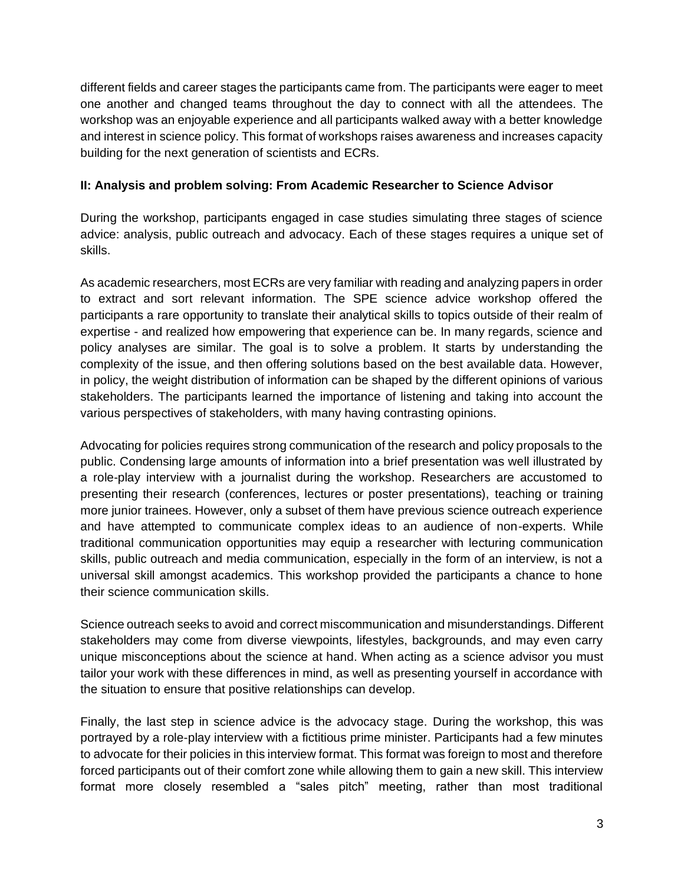different fields and career stages the participants came from. The participants were eager to meet one another and changed teams throughout the day to connect with all the attendees. The workshop was an enjoyable experience and all participants walked away with a better knowledge and interest in science policy. This format of workshops raises awareness and increases capacity building for the next generation of scientists and ECRs.

## **II: Analysis and problem solving: From Academic Researcher to Science Advisor**

During the workshop, participants engaged in case studies simulating three stages of science advice: analysis, public outreach and advocacy. Each of these stages requires a unique set of skills.

As academic researchers, most ECRs are very familiar with reading and analyzing papers in order to extract and sort relevant information. The SPE science advice workshop offered the participants a rare opportunity to translate their analytical skills to topics outside of their realm of expertise - and realized how empowering that experience can be. In many regards, science and policy analyses are similar. The goal is to solve a problem. It starts by understanding the complexity of the issue, and then offering solutions based on the best available data. However, in policy, the weight distribution of information can be shaped by the different opinions of various stakeholders. The participants learned the importance of listening and taking into account the various perspectives of stakeholders, with many having contrasting opinions.

Advocating for policies requires strong communication of the research and policy proposals to the public. Condensing large amounts of information into a brief presentation was well illustrated by a role-play interview with a journalist during the workshop. Researchers are accustomed to presenting their research (conferences, lectures or poster presentations), teaching or training more junior trainees. However, only a subset of them have previous science outreach experience and have attempted to communicate complex ideas to an audience of non-experts. While traditional communication opportunities may equip a researcher with lecturing communication skills, public outreach and media communication, especially in the form of an interview, is not a universal skill amongst academics. This workshop provided the participants a chance to hone their science communication skills.

Science outreach seeks to avoid and correct miscommunication and misunderstandings. Different stakeholders may come from diverse viewpoints, lifestyles, backgrounds, and may even carry unique misconceptions about the science at hand. When acting as a science advisor you must tailor your work with these differences in mind, as well as presenting yourself in accordance with the situation to ensure that positive relationships can develop.

Finally, the last step in science advice is the advocacy stage. During the workshop, this was portrayed by a role-play interview with a fictitious prime minister. Participants had a few minutes to advocate for their policies in this interview format. This format was foreign to most and therefore forced participants out of their comfort zone while allowing them to gain a new skill. This interview format more closely resembled a "sales pitch" meeting, rather than most traditional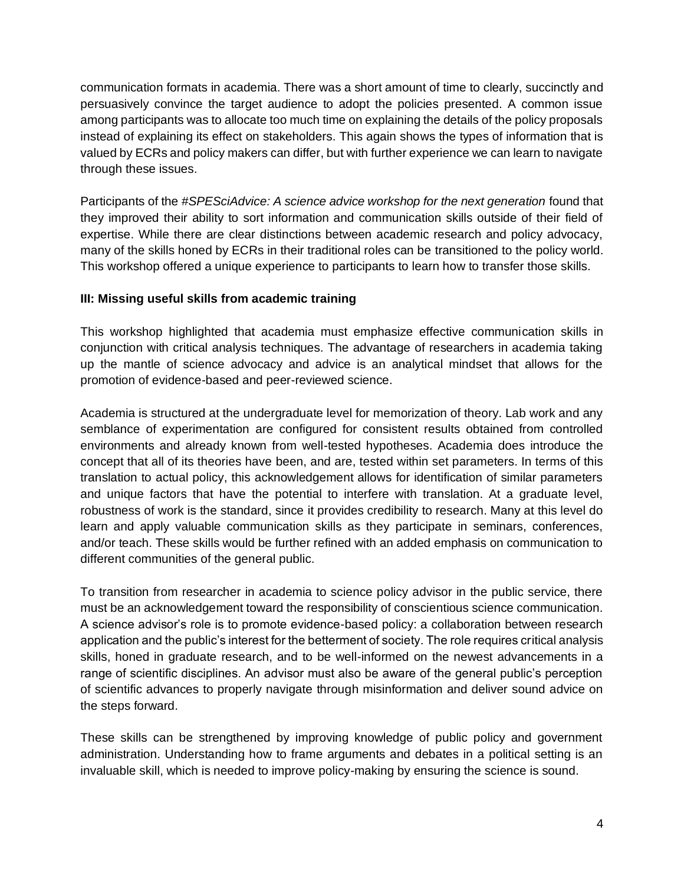communication formats in academia. There was a short amount of time to clearly, succinctly and persuasively convince the target audience to adopt the policies presented. A common issue among participants was to allocate too much time on explaining the details of the policy proposals instead of explaining its effect on stakeholders. This again shows the types of information that is valued by ECRs and policy makers can differ, but with further experience we can learn to navigate through these issues.

Participants of the *#SPESciAdvice: A science advice workshop for the next generation* found that they improved their ability to sort information and communication skills outside of their field of expertise. While there are clear distinctions between academic research and policy advocacy, many of the skills honed by ECRs in their traditional roles can be transitioned to the policy world. This workshop offered a unique experience to participants to learn how to transfer those skills.

## **III: Missing useful skills from academic training**

This workshop highlighted that academia must emphasize effective communication skills in conjunction with critical analysis techniques. The advantage of researchers in academia taking up the mantle of science advocacy and advice is an analytical mindset that allows for the promotion of evidence-based and peer-reviewed science.

Academia is structured at the undergraduate level for memorization of theory. Lab work and any semblance of experimentation are configured for consistent results obtained from controlled environments and already known from well-tested hypotheses. Academia does introduce the concept that all of its theories have been, and are, tested within set parameters. In terms of this translation to actual policy, this acknowledgement allows for identification of similar parameters and unique factors that have the potential to interfere with translation. At a graduate level, robustness of work is the standard, since it provides credibility to research. Many at this level do learn and apply valuable communication skills as they participate in seminars, conferences, and/or teach. These skills would be further refined with an added emphasis on communication to different communities of the general public.

To transition from researcher in academia to science policy advisor in the public service, there must be an acknowledgement toward the responsibility of conscientious science communication. A science advisor's role is to promote evidence-based policy: a collaboration between research application and the public's interest for the betterment of society. The role requires critical analysis skills, honed in graduate research, and to be well-informed on the newest advancements in a range of scientific disciplines. An advisor must also be aware of the general public's perception of scientific advances to properly navigate through misinformation and deliver sound advice on the steps forward.

These skills can be strengthened by improving knowledge of public policy and government administration. Understanding how to frame arguments and debates in a political setting is an invaluable skill, which is needed to improve policy-making by ensuring the science is sound.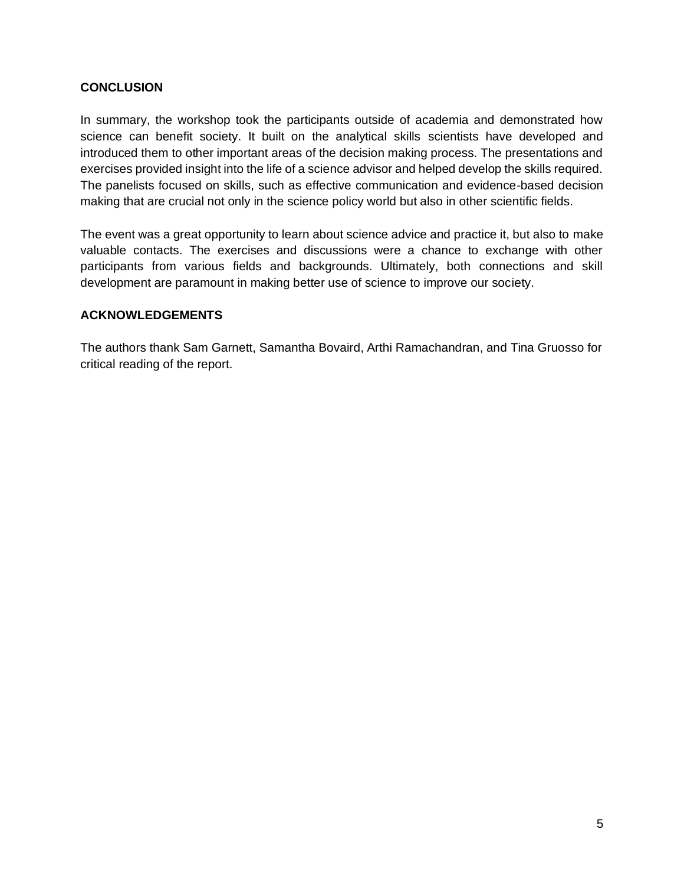#### **CONCLUSION**

In summary, the workshop took the participants outside of academia and demonstrated how science can benefit society. It built on the analytical skills scientists have developed and introduced them to other important areas of the decision making process. The presentations and exercises provided insight into the life of a science advisor and helped develop the skills required. The panelists focused on skills, such as effective communication and evidence-based decision making that are crucial not only in the science policy world but also in other scientific fields.

The event was a great opportunity to learn about science advice and practice it, but also to make valuable contacts. The exercises and discussions were a chance to exchange with other participants from various fields and backgrounds. Ultimately, both connections and skill development are paramount in making better use of science to improve our society.

#### **ACKNOWLEDGEMENTS**

The authors thank Sam Garnett, Samantha Bovaird, Arthi Ramachandran, and Tina Gruosso for critical reading of the report.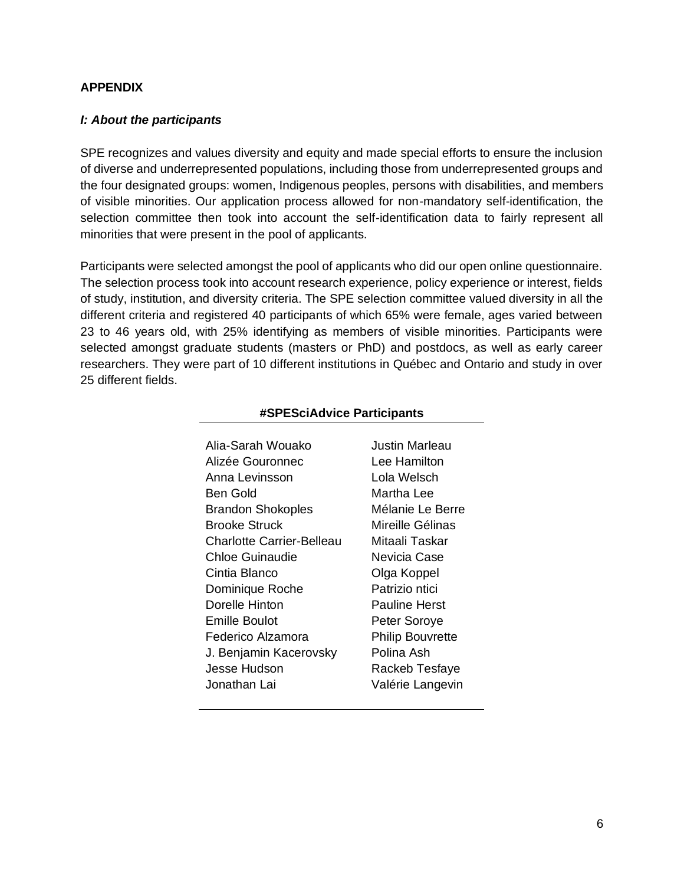#### **APPENDIX**

#### *I: About the participants*

SPE recognizes and values diversity and equity and made special efforts to ensure the inclusion of diverse and underrepresented populations, including those from underrepresented groups and the four designated groups: women, Indigenous peoples, persons with disabilities, and members of visible minorities. Our application process allowed for non-mandatory self-identification, the selection committee then took into account the self-identification data to fairly represent all minorities that were present in the pool of applicants.

Participants were selected amongst the pool of applicants who did our open online questionnaire. The selection process took into account research experience, policy experience or interest, fields of study, institution, and diversity criteria. The SPE selection committee valued diversity in all the different criteria and registered 40 participants of which 65% were female, ages varied between 23 to 46 years old, with 25% identifying as members of visible minorities. Participants were selected amongst graduate students (masters or PhD) and postdocs, as well as early career researchers. They were part of 10 different institutions in Québec and Ontario and study in over 25 different fields.

| Alia-Sarah Wouako                | Justin Marleau          |
|----------------------------------|-------------------------|
| Alizée Gouronnec                 | Lee Hamilton            |
| Anna Levinsson                   | Lola Welsch             |
| Ben Gold                         | Martha Lee              |
| <b>Brandon Shokoples</b>         | Mélanie Le Berre        |
| Brooke Struck                    | Mireille Gélinas        |
| <b>Charlotte Carrier-Belleau</b> | Mitaali Taskar          |
| Chloe Guinaudie                  | Nevicia Case            |
| Cintia Blanco                    | Olga Koppel             |
| Dominique Roche                  | Patrizio ntici          |
| Dorelle Hinton                   | Pauline Herst           |
| Emille Boulot                    | Peter Soroye            |
| Federico Alzamora                | <b>Philip Bouvrette</b> |
| J. Benjamin Kacerovsky           | Polina Ash              |
| Jesse Hudson                     | Rackeb Tesfaye          |
| Jonathan Lai                     | Valérie Langevin        |

#### **#SPESciAdvice Participants**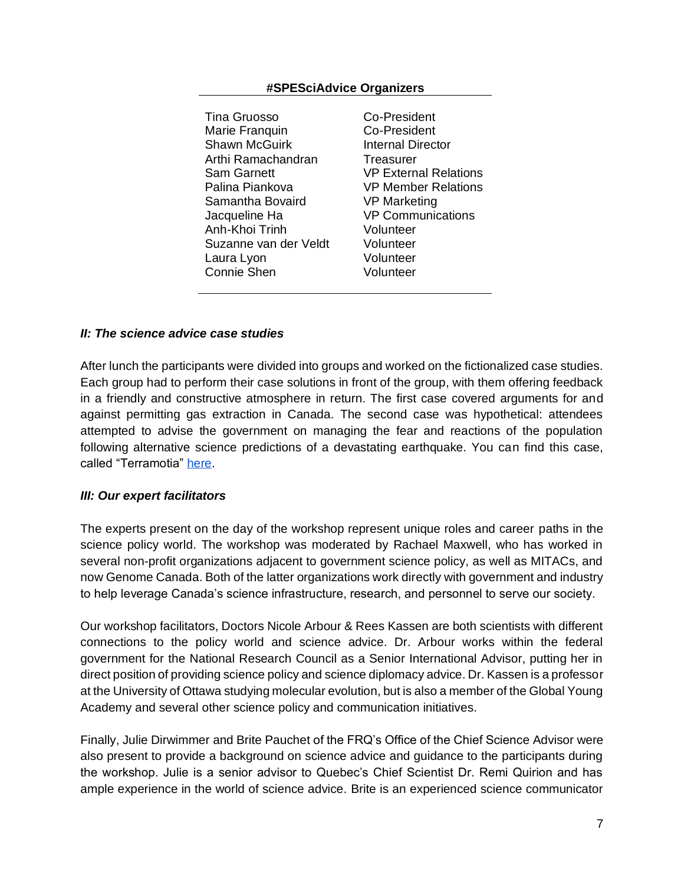#### **#SPESciAdvice Organizers**

Tina Gruosso Co-President Marie Franquin Co-President Shawn McGuirk **Internal Director** Arthi Ramachandran Treasurer Sam Garnett **VP External Relations** Palina Piankova VP Member Relations Samantha Bovaird **VP Marketing** Jacqueline Ha VP Communications Anh-Khoi Trinh Volunteer Suzanne van der Veldt Volunteer Laura Lyon Volunteer Connie Shen Volunteer

#### *II: The science advice case studies*

After lunch the participants were divided into groups and worked on the fictionalized case studies. Each group had to perform their case solutions in front of the group, with them offering feedback in a friendly and constructive atmosphere in return. The first case covered arguments for and against permitting gas extraction in Canada. The second case was hypothetical: attendees attempted to advise the government on managing the fear and reactions of the population following alternative science predictions of a devastating earthquake. You can find this case, called "Terramotia" [here.](https://www.ingsa.org/wp-content/uploads/2018/02/Terremotia-LA-Mentor-Version.pdf)

#### *III: Our expert facilitators*

The experts present on the day of the workshop represent unique roles and career paths in the science policy world. The workshop was moderated by Rachael Maxwell, who has worked in several non-profit organizations adjacent to government science policy, as well as MITACs, and now Genome Canada. Both of the latter organizations work directly with government and industry to help leverage Canada's science infrastructure, research, and personnel to serve our society.

Our workshop facilitators, Doctors Nicole Arbour & Rees Kassen are both scientists with different connections to the policy world and science advice. Dr. Arbour works within the federal government for the National Research Council as a Senior International Advisor, putting her in direct position of providing science policy and science diplomacy advice. Dr. Kassen is a professor at the University of Ottawa studying molecular evolution, but is also a member of the Global Young Academy and several other science policy and communication initiatives.

Finally, Julie Dirwimmer and Brite Pauchet of the FRQ's Office of the Chief Science Advisor were also present to provide a background on science advice and guidance to the participants during the workshop. Julie is a senior advisor to Quebec's Chief Scientist Dr. Remi Quirion and has ample experience in the world of science advice. Brite is an experienced science communicator